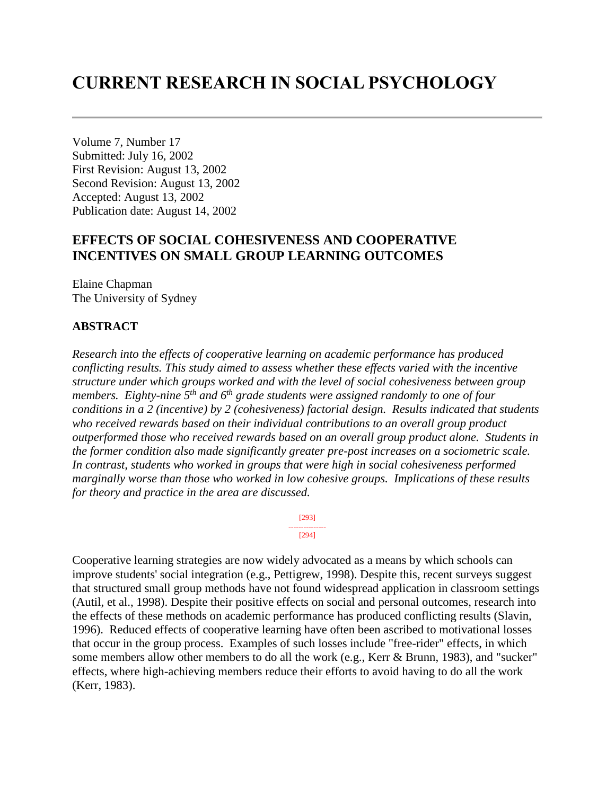# **CURRENT RESEARCH IN SOCIAL PSYCHOLOGY**

Volume 7, Number 17 Submitted: July 16, 2002 First Revision: August 13, 2002 Second Revision: August 13, 2002 Accepted: August 13, 2002 Publication date: August 14, 2002

# **EFFECTS OF SOCIAL COHESIVENESS AND COOPERATIVE INCENTIVES ON SMALL GROUP LEARNING OUTCOMES**

Elaine Chapman The University of Sydney

#### **ABSTRACT**

*Research into the effects of cooperative learning on academic performance has produced conflicting results. This study aimed to assess whether these effects varied with the incentive structure under which groups worked and with the level of social cohesiveness between group members. Eighty-nine 5th and 6th grade students were assigned randomly to one of four conditions in a 2 (incentive) by 2 (cohesiveness) factorial design. Results indicated that students who received rewards based on their individual contributions to an overall group product outperformed those who received rewards based on an overall group product alone. Students in the former condition also made significantly greater pre-post increases on a sociometric scale. In contrast, students who worked in groups that were high in social cohesiveness performed marginally worse than those who worked in low cohesive groups. Implications of these results for theory and practice in the area are discussed.*

> [293] --------------- [294]

Cooperative learning strategies are now widely advocated as a means by which schools can improve students' social integration (e.g., Pettigrew, 1998). Despite this, recent surveys suggest that structured small group methods have not found widespread application in classroom settings (Autil, et al., 1998). Despite their positive effects on social and personal outcomes, research into the effects of these methods on academic performance has produced conflicting results (Slavin, 1996). Reduced effects of cooperative learning have often been ascribed to motivational losses that occur in the group process. Examples of such losses include "free-rider" effects, in which some members allow other members to do all the work (e.g., Kerr & Brunn, 1983), and "sucker" effects, where high-achieving members reduce their efforts to avoid having to do all the work (Kerr, 1983).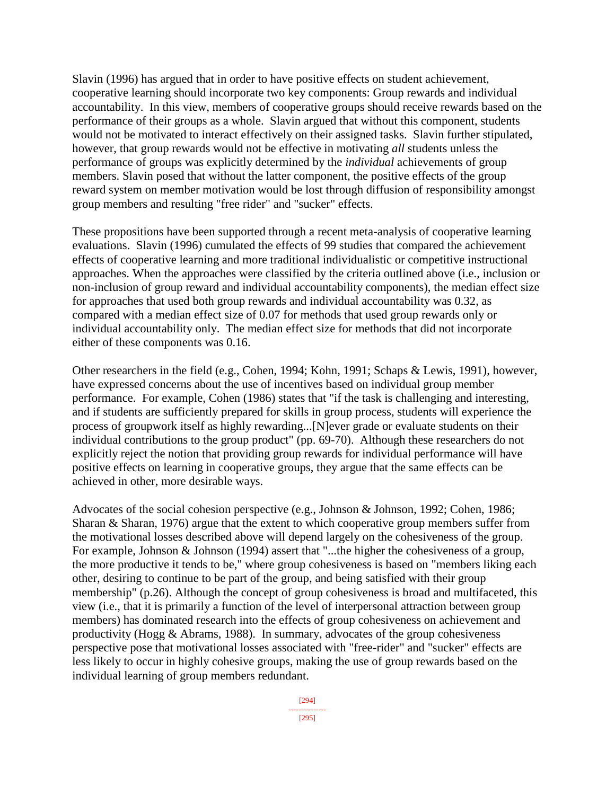Slavin (1996) has argued that in order to have positive effects on student achievement, cooperative learning should incorporate two key components: Group rewards and individual accountability. In this view, members of cooperative groups should receive rewards based on the performance of their groups as a whole. Slavin argued that without this component, students would not be motivated to interact effectively on their assigned tasks. Slavin further stipulated, however, that group rewards would not be effective in motivating *all* students unless the performance of groups was explicitly determined by the *individual* achievements of group members. Slavin posed that without the latter component, the positive effects of the group reward system on member motivation would be lost through diffusion of responsibility amongst group members and resulting "free rider" and "sucker" effects.

These propositions have been supported through a recent meta-analysis of cooperative learning evaluations. Slavin (1996) cumulated the effects of 99 studies that compared the achievement effects of cooperative learning and more traditional individualistic or competitive instructional approaches. When the approaches were classified by the criteria outlined above (i.e., inclusion or non-inclusion of group reward and individual accountability components), the median effect size for approaches that used both group rewards and individual accountability was 0.32, as compared with a median effect size of 0.07 for methods that used group rewards only or individual accountability only. The median effect size for methods that did not incorporate either of these components was 0.16.

Other researchers in the field (e.g., Cohen, 1994; Kohn, 1991; Schaps & Lewis, 1991), however, have expressed concerns about the use of incentives based on individual group member performance. For example, Cohen (1986) states that "if the task is challenging and interesting, and if students are sufficiently prepared for skills in group process, students will experience the process of groupwork itself as highly rewarding...[N]ever grade or evaluate students on their individual contributions to the group product" (pp. 69-70). Although these researchers do not explicitly reject the notion that providing group rewards for individual performance will have positive effects on learning in cooperative groups, they argue that the same effects can be achieved in other, more desirable ways.

Advocates of the social cohesion perspective (e.g., Johnson & Johnson, 1992; Cohen, 1986; Sharan & Sharan, 1976) argue that the extent to which cooperative group members suffer from the motivational losses described above will depend largely on the cohesiveness of the group. For example, Johnson & Johnson (1994) assert that "...the higher the cohesiveness of a group, the more productive it tends to be," where group cohesiveness is based on "members liking each other, desiring to continue to be part of the group, and being satisfied with their group membership" (p.26). Although the concept of group cohesiveness is broad and multifaceted, this view (i.e., that it is primarily a function of the level of interpersonal attraction between group members) has dominated research into the effects of group cohesiveness on achievement and productivity (Hogg & Abrams, 1988). In summary, advocates of the group cohesiveness perspective pose that motivational losses associated with "free-rider" and "sucker" effects are less likely to occur in highly cohesive groups, making the use of group rewards based on the individual learning of group members redundant.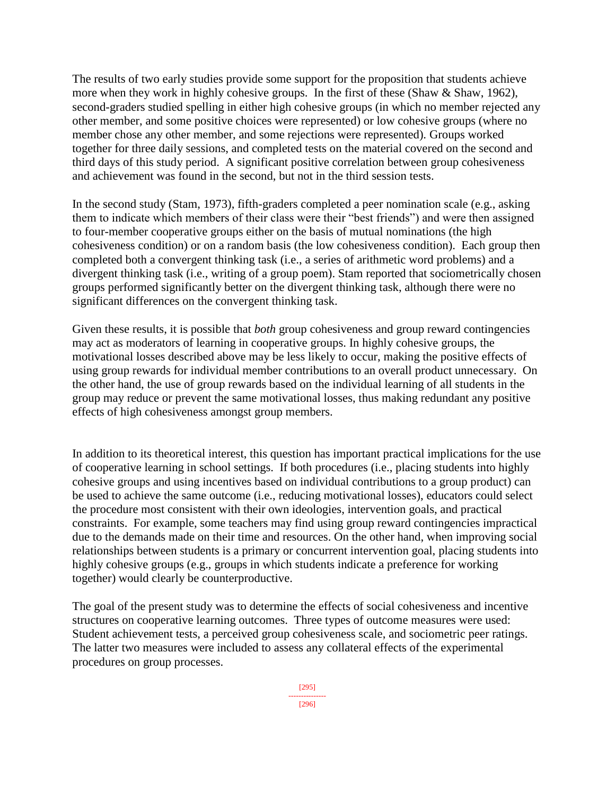The results of two early studies provide some support for the proposition that students achieve more when they work in highly cohesive groups. In the first of these (Shaw & Shaw, 1962), second-graders studied spelling in either high cohesive groups (in which no member rejected any other member, and some positive choices were represented) or low cohesive groups (where no member chose any other member, and some rejections were represented). Groups worked together for three daily sessions, and completed tests on the material covered on the second and third days of this study period. A significant positive correlation between group cohesiveness and achievement was found in the second, but not in the third session tests.

In the second study (Stam, 1973), fifth-graders completed a peer nomination scale (e.g., asking them to indicate which members of their class were their "best friends") and were then assigned to four-member cooperative groups either on the basis of mutual nominations (the high cohesiveness condition) or on a random basis (the low cohesiveness condition). Each group then completed both a convergent thinking task (i.e., a series of arithmetic word problems) and a divergent thinking task (i.e., writing of a group poem). Stam reported that sociometrically chosen groups performed significantly better on the divergent thinking task, although there were no significant differences on the convergent thinking task.

Given these results, it is possible that *both* group cohesiveness and group reward contingencies may act as moderators of learning in cooperative groups. In highly cohesive groups, the motivational losses described above may be less likely to occur, making the positive effects of using group rewards for individual member contributions to an overall product unnecessary. On the other hand, the use of group rewards based on the individual learning of all students in the group may reduce or prevent the same motivational losses, thus making redundant any positive effects of high cohesiveness amongst group members.

In addition to its theoretical interest, this question has important practical implications for the use of cooperative learning in school settings. If both procedures (i.e., placing students into highly cohesive groups and using incentives based on individual contributions to a group product) can be used to achieve the same outcome (i.e., reducing motivational losses), educators could select the procedure most consistent with their own ideologies, intervention goals, and practical constraints. For example, some teachers may find using group reward contingencies impractical due to the demands made on their time and resources. On the other hand, when improving social relationships between students is a primary or concurrent intervention goal, placing students into highly cohesive groups (e.g., groups in which students indicate a preference for working together) would clearly be counterproductive.

The goal of the present study was to determine the effects of social cohesiveness and incentive structures on cooperative learning outcomes. Three types of outcome measures were used: Student achievement tests, a perceived group cohesiveness scale, and sociometric peer ratings. The latter two measures were included to assess any collateral effects of the experimental procedures on group processes.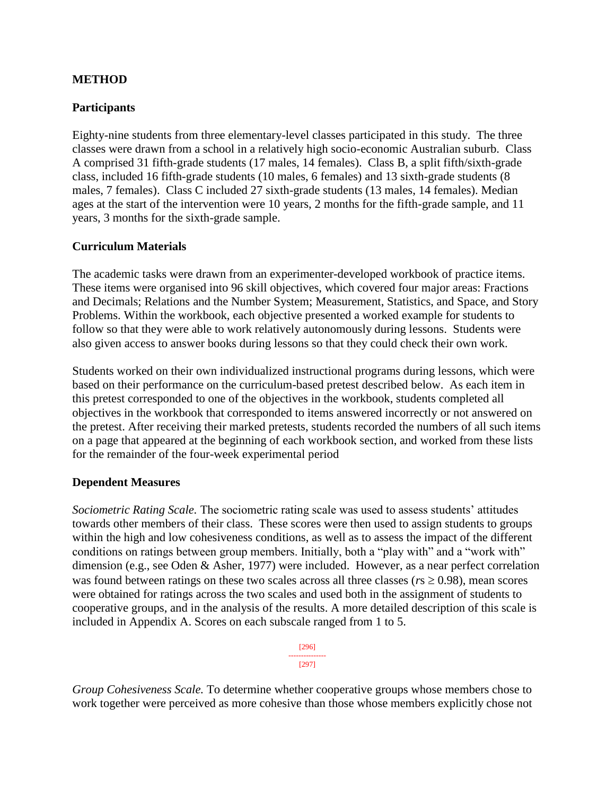### **METHOD**

### **Participants**

Eighty-nine students from three elementary-level classes participated in this study. The three classes were drawn from a school in a relatively high socio-economic Australian suburb. Class A comprised 31 fifth-grade students (17 males, 14 females). Class B, a split fifth/sixth-grade class, included 16 fifth-grade students (10 males, 6 females) and 13 sixth-grade students (8 males, 7 females). Class C included 27 sixth-grade students (13 males, 14 females). Median ages at the start of the intervention were 10 years, 2 months for the fifth-grade sample, and 11 years, 3 months for the sixth-grade sample.

### **Curriculum Materials**

The academic tasks were drawn from an experimenter-developed workbook of practice items. These items were organised into 96 skill objectives, which covered four major areas: Fractions and Decimals; Relations and the Number System; Measurement, Statistics, and Space, and Story Problems. Within the workbook, each objective presented a worked example for students to follow so that they were able to work relatively autonomously during lessons. Students were also given access to answer books during lessons so that they could check their own work.

Students worked on their own individualized instructional programs during lessons, which were based on their performance on the curriculum-based pretest described below. As each item in this pretest corresponded to one of the objectives in the workbook, students completed all objectives in the workbook that corresponded to items answered incorrectly or not answered on the pretest. After receiving their marked pretests, students recorded the numbers of all such items on a page that appeared at the beginning of each workbook section, and worked from these lists for the remainder of the four-week experimental period

#### **Dependent Measures**

*Sociometric Rating Scale.* The sociometric rating scale was used to assess students' attitudes towards other members of their class. These scores were then used to assign students to groups within the high and low cohesiveness conditions, as well as to assess the impact of the different conditions on ratings between group members. Initially, both a "play with" and a "work with" dimension (e.g., see Oden & Asher, 1977) were included. However, as a near perfect correlation was found between ratings on these two scales across all three classes ( $r_s \ge 0.98$ ), mean scores were obtained for ratings across the two scales and used both in the assignment of students to cooperative groups, and in the analysis of the results. A more detailed description of this scale is included in Appendix A. Scores on each subscale ranged from 1 to 5.

| 961<br>D |
|----------|
| 12971    |

*Group Cohesiveness Scale.* To determine whether cooperative groups whose members chose to work together were perceived as more cohesive than those whose members explicitly chose not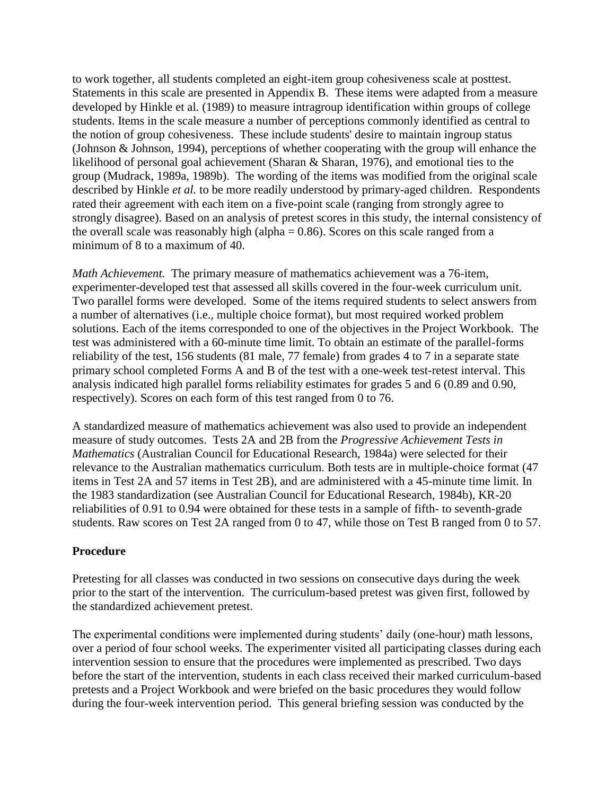to work together, all students completed an eight-item group cohesiveness scale at posttest. Statements in this scale are presented in Appendix B. These items were adapted from a measure developed by Hinkle et al. (1989) to measure intragroup identification within groups of college students. Items in the scale measure a number of perceptions commonly identified as central to the notion of group cohesiveness. These include students' desire to maintain ingroup status (Johnson & Johnson, 1994), perceptions of whether cooperating with the group will enhance the likelihood of personal goal achievement (Sharan & Sharan, 1976), and emotional ties to the group (Mudrack, 1989a, 1989b). The wording of the items was modified from the original scale described by Hinkle *et al.* to be more readily understood by primary-aged children. Respondents rated their agreement with each item on a five-point scale (ranging from strongly agree to strongly disagree). Based on an analysis of pretest scores in this study, the internal consistency of the overall scale was reasonably high (alpha  $= 0.86$ ). Scores on this scale ranged from a minimum of 8 to a maximum of 40.

*Math Achievement.* The primary measure of mathematics achievement was a 76-item, experimenter-developed test that assessed all skills covered in the four-week curriculum unit. Two parallel forms were developed. Some of the items required students to select answers from a number of alternatives (i.e., multiple choice format), but most required worked problem solutions. Each of the items corresponded to one of the objectives in the Project Workbook. The test was administered with a 60-minute time limit. To obtain an estimate of the parallel-forms reliability of the test, 156 students (81 male, 77 female) from grades 4 to 7 in a separate state primary school completed Forms A and B of the test with a one-week test-retest interval. This analysis indicated high parallel forms reliability estimates for grades 5 and 6 (0.89 and 0.90, respectively). Scores on each form of this test ranged from 0 to 76.

A standardized measure of mathematics achievement was also used to provide an independent measure of study outcomes. Tests 2A and 2B from the *Progressive Achievement Tests in Mathematics* (Australian Council for Educational Research, 1984a) were selected for their relevance to the Australian mathematics curriculum. Both tests are in multiple-choice format (47 items in Test 2A and 57 items in Test 2B), and are administered with a 45-minute time limit. In the 1983 standardization (see Australian Council for Educational Research, 1984b), KR-20 reliabilities of 0.91 to 0.94 were obtained for these tests in a sample of fifth- to seventh-grade students. Raw scores on Test 2A ranged from 0 to 47, while those on Test B ranged from 0 to 57.

#### **Procedure**

Pretesting for all classes was conducted in two sessions on consecutive days during the week prior to the start of the intervention. The curriculum-based pretest was given first, followed by the standardized achievement pretest.

The experimental conditions were implemented during students' daily (one-hour) math lessons, over a period of four school weeks. The experimenter visited all participating classes during each intervention session to ensure that the procedures were implemented as prescribed. Two days before the start of the intervention, students in each class received their marked curriculum-based pretests and a Project Workbook and were briefed on the basic procedures they would follow during the four-week intervention period. This general briefing session was conducted by the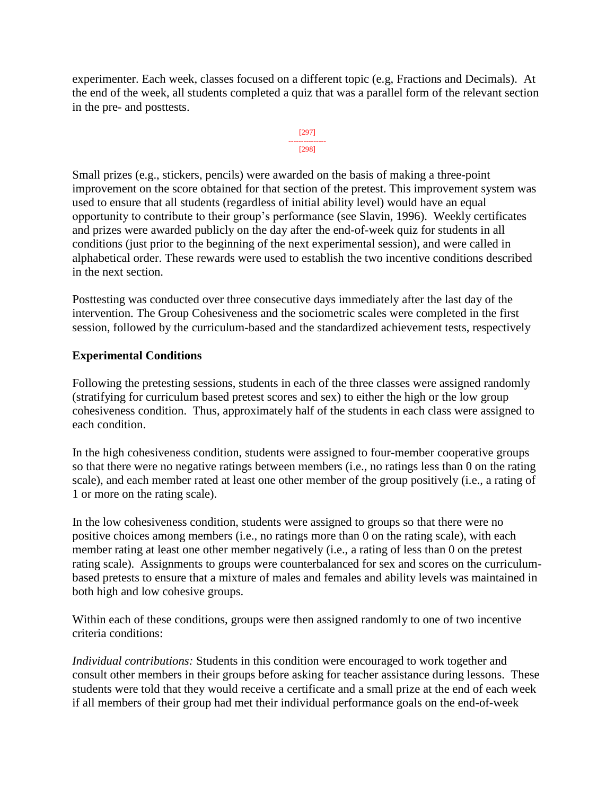experimenter. Each week, classes focused on a different topic (e.g, Fractions and Decimals). At the end of the week, all students completed a quiz that was a parallel form of the relevant section in the pre- and posttests.



Small prizes (e.g., stickers, pencils) were awarded on the basis of making a three-point improvement on the score obtained for that section of the pretest. This improvement system was used to ensure that all students (regardless of initial ability level) would have an equal opportunity to contribute to their group's performance (see Slavin, 1996). Weekly certificates and prizes were awarded publicly on the day after the end-of-week quiz for students in all conditions (just prior to the beginning of the next experimental session), and were called in alphabetical order. These rewards were used to establish the two incentive conditions described in the next section.

Posttesting was conducted over three consecutive days immediately after the last day of the intervention. The Group Cohesiveness and the sociometric scales were completed in the first session, followed by the curriculum-based and the standardized achievement tests, respectively

# **Experimental Conditions**

Following the pretesting sessions, students in each of the three classes were assigned randomly (stratifying for curriculum based pretest scores and sex) to either the high or the low group cohesiveness condition. Thus, approximately half of the students in each class were assigned to each condition.

In the high cohesiveness condition, students were assigned to four-member cooperative groups so that there were no negative ratings between members (i.e., no ratings less than 0 on the rating scale), and each member rated at least one other member of the group positively (i.e., a rating of 1 or more on the rating scale).

In the low cohesiveness condition, students were assigned to groups so that there were no positive choices among members (i.e., no ratings more than 0 on the rating scale), with each member rating at least one other member negatively (i.e., a rating of less than 0 on the pretest rating scale). Assignments to groups were counterbalanced for sex and scores on the curriculumbased pretests to ensure that a mixture of males and females and ability levels was maintained in both high and low cohesive groups.

Within each of these conditions, groups were then assigned randomly to one of two incentive criteria conditions:

*Individual contributions:* Students in this condition were encouraged to work together and consult other members in their groups before asking for teacher assistance during lessons. These students were told that they would receive a certificate and a small prize at the end of each week if all members of their group had met their individual performance goals on the end-of-week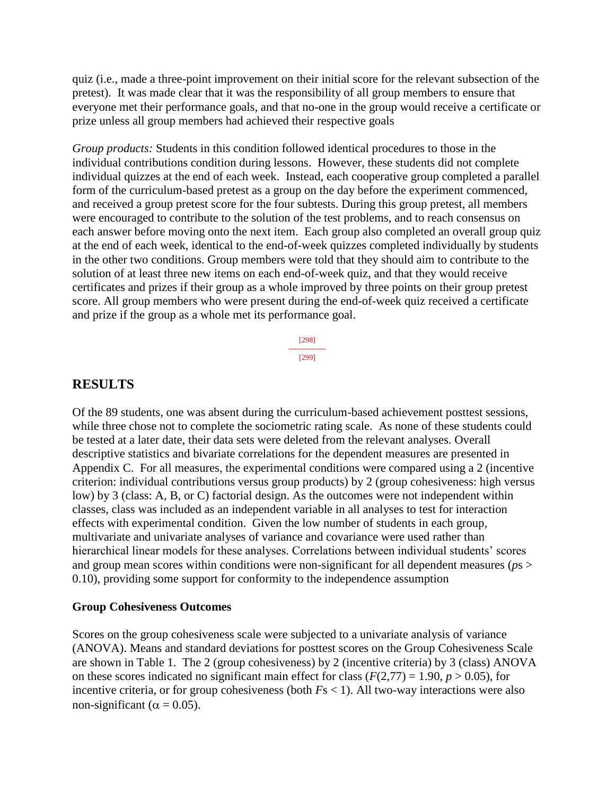quiz (i.e., made a three-point improvement on their initial score for the relevant subsection of the pretest). It was made clear that it was the responsibility of all group members to ensure that everyone met their performance goals, and that no-one in the group would receive a certificate or prize unless all group members had achieved their respective goals

*Group products:* Students in this condition followed identical procedures to those in the individual contributions condition during lessons. However, these students did not complete individual quizzes at the end of each week. Instead, each cooperative group completed a parallel form of the curriculum-based pretest as a group on the day before the experiment commenced, and received a group pretest score for the four subtests. During this group pretest, all members were encouraged to contribute to the solution of the test problems, and to reach consensus on each answer before moving onto the next item. Each group also completed an overall group quiz at the end of each week, identical to the end-of-week quizzes completed individually by students in the other two conditions. Group members were told that they should aim to contribute to the solution of at least three new items on each end-of-week quiz, and that they would receive certificates and prizes if their group as a whole improved by three points on their group pretest score. All group members who were present during the end-of-week quiz received a certificate and prize if the group as a whole met its performance goal.

> [298] --------------- [299]

# **RESULTS**

Of the 89 students, one was absent during the curriculum-based achievement posttest sessions, while three chose not to complete the sociometric rating scale. As none of these students could be tested at a later date, their data sets were deleted from the relevant analyses. Overall descriptive statistics and bivariate correlations for the dependent measures are presented in Appendix C. For all measures, the experimental conditions were compared using a 2 (incentive criterion: individual contributions versus group products) by 2 (group cohesiveness: high versus low) by 3 (class: A, B, or C) factorial design. As the outcomes were not independent within classes, class was included as an independent variable in all analyses to test for interaction effects with experimental condition. Given the low number of students in each group, multivariate and univariate analyses of variance and covariance were used rather than hierarchical linear models for these analyses. Correlations between individual students' scores and group mean scores within conditions were non-significant for all dependent measures (*p*s > 0.10), providing some support for conformity to the independence assumption

#### **Group Cohesiveness Outcomes**

Scores on the group cohesiveness scale were subjected to a univariate analysis of variance (ANOVA). Means and standard deviations for posttest scores on the Group Cohesiveness Scale are shown in Table 1. The 2 (group cohesiveness) by 2 (incentive criteria) by 3 (class) ANOVA on these scores indicated no significant main effect for class ( $F(2,77) = 1.90, p > 0.05$ ), for incentive criteria, or for group cohesiveness (both *F*s < 1). All two-way interactions were also non-significant ( $\alpha = 0.05$ ).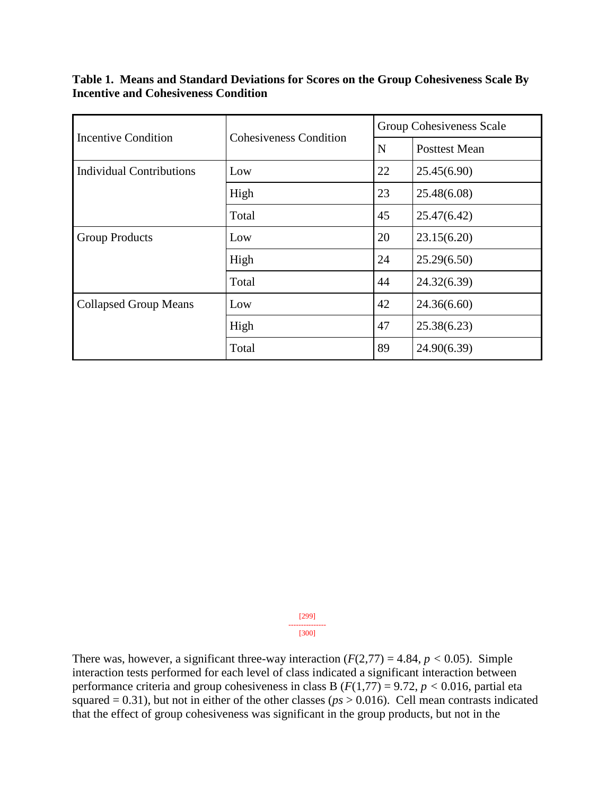**Table 1. Means and Standard Deviations for Scores on the Group Cohesiveness Scale By Incentive and Cohesiveness Condition**

 $\mathbf{r}$ 

| Incentive Condition             | <b>Cohesiveness Condition</b> | Group Cohesiveness Scale |                      |  |  |
|---------------------------------|-------------------------------|--------------------------|----------------------|--|--|
|                                 |                               | $\mathbf N$              | <b>Posttest Mean</b> |  |  |
| <b>Individual Contributions</b> | Low                           | 22                       | 25.45(6.90)          |  |  |
|                                 | High                          | 23                       | 25.48(6.08)          |  |  |
|                                 | Total                         | 45                       | 25.47(6.42)          |  |  |
| <b>Group Products</b>           | Low                           | 20                       | 23.15(6.20)          |  |  |
|                                 | High                          | 24                       | 25.29(6.50)          |  |  |
|                                 | Total                         | 44                       | 24.32(6.39)          |  |  |
| <b>Collapsed Group Means</b>    | Low                           | 42                       | 24.36(6.60)          |  |  |
|                                 | High                          | 47                       | 25.38(6.23)          |  |  |
|                                 | Total                         | 89                       | 24.90(6.39)          |  |  |

[299] --------------- [300]

There was, however, a significant three-way interaction  $(F(2,77) = 4.84, p < 0.05)$ . Simple interaction tests performed for each level of class indicated a significant interaction between performance criteria and group cohesiveness in class B  $(F(1,77) = 9.72, p < 0.016$ , partial eta squared  $= 0.31$ ), but not in either of the other classes ( $p_s > 0.016$ ). Cell mean contrasts indicated that the effect of group cohesiveness was significant in the group products, but not in the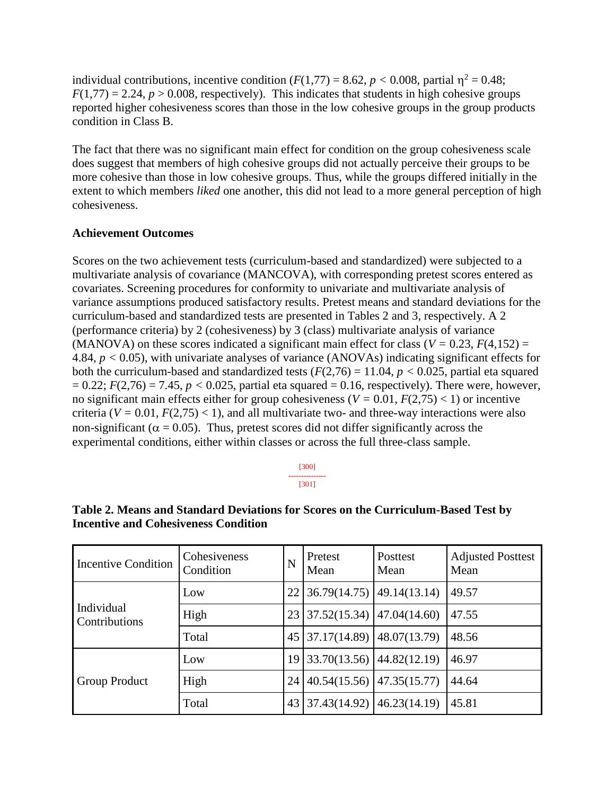individual contributions, incentive condition  $(F(1,77) = 8.62, p < 0.008$ , partial  $\eta^2 = 0.48$ ;  $F(1,77) = 2.24$ ,  $p > 0.008$ , respectively). This indicates that students in high cohesive groups reported higher cohesiveness scores than those in the low cohesive groups in the group products condition in Class B.

The fact that there was no significant main effect for condition on the group cohesiveness scale does suggest that members of high cohesive groups did not actually perceive their groups to be more cohesive than those in low cohesive groups. Thus, while the groups differed initially in the extent to which members *liked* one another, this did not lead to a more general perception of high cohesiveness.

#### **Achievement Outcomes**

Scores on the two achievement tests (curriculum-based and standardized) were subjected to a multivariate analysis of covariance (MANCOVA), with corresponding pretest scores entered as covariates. Screening procedures for conformity to univariate and multivariate analysis of variance assumptions produced satisfactory results. Pretest means and standard deviations for the curriculum-based and standardized tests are presented in Tables 2 and 3, respectively. A 2 (performance criteria) by 2 (cohesiveness) by 3 (class) multivariate analysis of variance (MANOVA) on these scores indicated a significant main effect for class ( $V = 0.23$ ,  $F(4,152) =$ 4.84, *p <* 0.05), with univariate analyses of variance (ANOVAs) indicating significant effects for both the curriculum-based and standardized tests  $(F(2,76) = 11.04, p < 0.025$ , partial eta squared  $= 0.22$ ;  $F(2,76) = 7.45$ ,  $p < 0.025$ , partial eta squared  $= 0.16$ , respectively). There were, however, no significant main effects either for group cohesiveness ( $V = 0.01$ ,  $F(2,75) < 1$ ) or incentive criteria ( $V = 0.01$ ,  $F(2,75) < 1$ ), and all multivariate two- and three-way interactions were also non-significant ( $\alpha$  = 0.05). Thus, pretest scores did not differ significantly across the experimental conditions, either within classes or across the full three-class sample.

> [300] --------------- [301]

| <b>Incentive Condition</b>  | Cohesiveness<br>Condition | N  | Pretest<br>Mean | Posttest<br>Mean | <b>Adjusted Posttest</b><br>Mean |
|-----------------------------|---------------------------|----|-----------------|------------------|----------------------------------|
| Individual<br>Contributions | Low                       | 22 | 36.79(14.75)    | 49.14(13.14)     | 49.57                            |
|                             | High                      |    | 37.52(15.34)    | 47.04(14.60)     | 47.55                            |
|                             | Total                     |    | 45 37.17(14.89) | 48.07(13.79)     | 48.56                            |
| Group Product               | Low                       | 19 | 33.70(13.56)    | 44.82(12.19)     | 46.97                            |
|                             | High                      | 24 | 40.54(15.56)    | 47.35(15.77)     | 44.64                            |
|                             | Total                     | 43 | 37.43(14.92)    | 46.23(14.19)     | 45.81                            |

#### **Table 2. Means and Standard Deviations for Scores on the Curriculum-Based Test by Incentive and Cohesiveness Condition**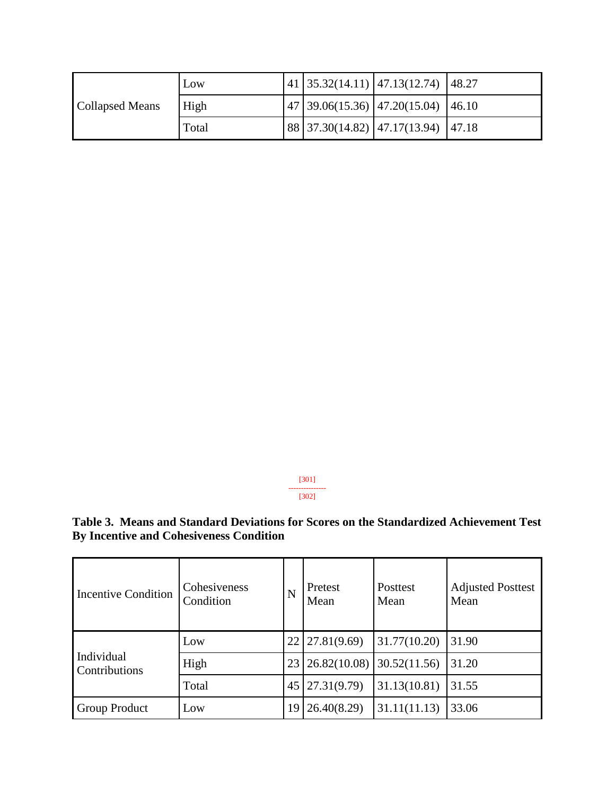| Collapsed Means | Low   |  | 41 35.32(14.11) 47.13(12.74) 48.27                                 |  |
|-----------------|-------|--|--------------------------------------------------------------------|--|
|                 | High  |  | $\mid$ 47   39.06(15.36)   47.20(15.04)   46.10                    |  |
|                 | Total |  | $\vert 88 \vert 37.30(14.82) \vert 47.17(13.94) \vert 47.18 \vert$ |  |

[301] --------------- [302]

**Table 3. Means and Standard Deviations for Scores on the Standardized Achievement Test By Incentive and Cohesiveness Condition** 

| <b>Incentive Condition</b>  | Cohesiveness<br>Condition | N  | Pretest<br>Mean       | Posttest<br>Mean | <b>Adjusted Posttest</b><br>Mean |
|-----------------------------|---------------------------|----|-----------------------|------------------|----------------------------------|
| Individual<br>Contributions | Low                       |    | $22 \mid 27.81(9.69)$ | 31.77(10.20)     | 31.90                            |
|                             | High                      | 23 | 26.82(10.08)          | 30.52(11.56)     | 31.20                            |
|                             | Total                     |    | $45 \mid 27.31(9.79)$ | 31.13(10.81)     | 31.55                            |
| Group Product               | Low                       | 19 | 26.40(8.29)           | 31.11(11.13)     | 33.06                            |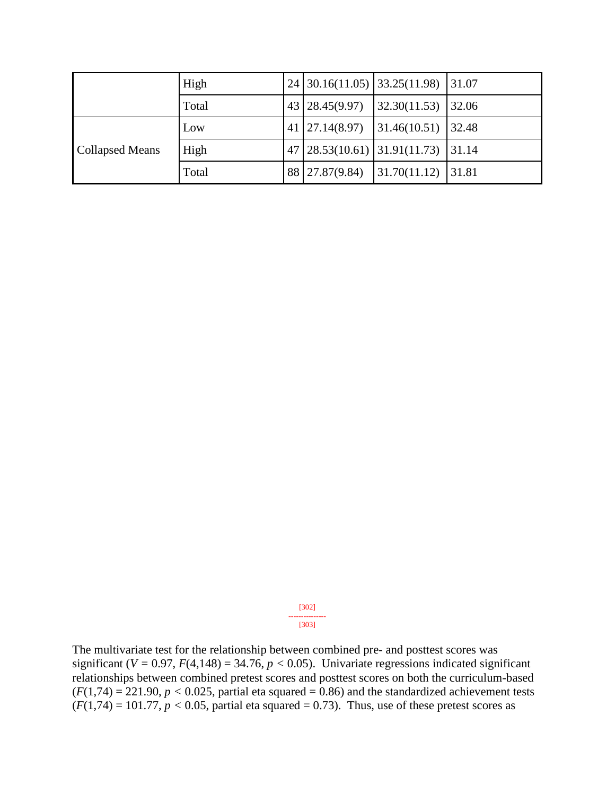|                        | High  |    |                | 24 30.16(11.05) 33.25(11.98) 31.07 |       |
|------------------------|-------|----|----------------|------------------------------------|-------|
|                        | Total |    | 43 28.45(9.97) | 32.30(11.53)                       | 32.06 |
|                        | Low   | 41 | 27.14(8.97)    | 31.46(10.51)                       | 32.48 |
| <b>Collapsed Means</b> | High  |    |                | 47 28.53(10.61) 31.91(11.73)       | 31.14 |
|                        | Total |    | 88 27.87(9.84) | 31.70(11.12)                       | 31.81 |

[302] --------------- [303]

The multivariate test for the relationship between combined pre- and posttest scores was significant ( $V = 0.97$ ,  $F(4,148) = 34.76$ ,  $p < 0.05$ ). Univariate regressions indicated significant relationships between combined pretest scores and posttest scores on both the curriculum-based  $(F(1,74) = 221.90, p < 0.025$ , partial eta squared = 0.86) and the standardized achievement tests  $(F(1,74) = 101.77, p < 0.05$ , partial eta squared = 0.73). Thus, use of these pretest scores as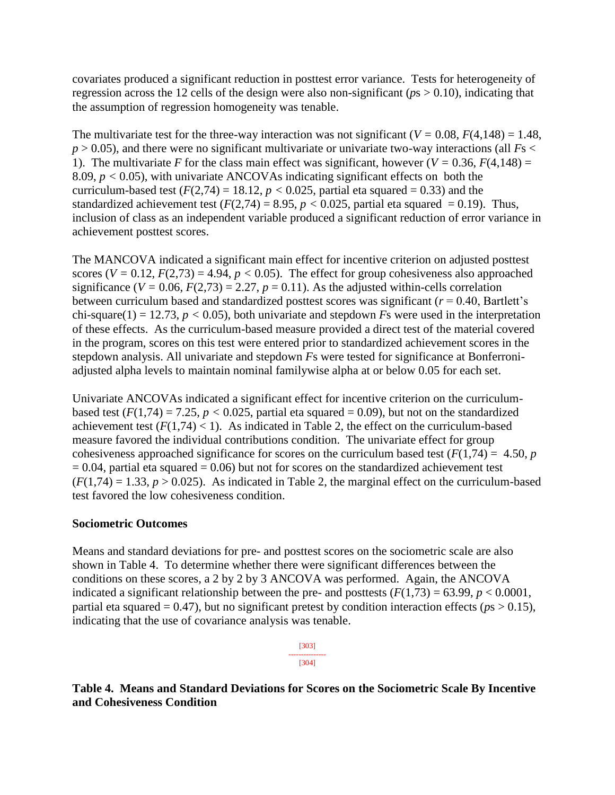covariates produced a significant reduction in posttest error variance. Tests for heterogeneity of regression across the 12 cells of the design were also non-significant (*p*s > 0.10), indicating that the assumption of regression homogeneity was tenable.

The multivariate test for the three-way interaction was not significant ( $V = 0.08$ ,  $F(4,148) = 1.48$ ,  $p > 0.05$ ), and there were no significant multivariate or univariate two-way interactions (all  $Fs <$ 1). The multivariate *F* for the class main effect was significant, however ( $V = 0.36$ ,  $F(4,148) =$ 8.09, *p <* 0.05), with univariate ANCOVAs indicating significant effects on both the curriculum-based test  $(F(2,74) = 18.12, p < 0.025$ , partial eta squared = 0.33) and the standardized achievement test  $(F(2,74) = 8.95, p < 0.025$ , partial eta squared = 0.19). Thus, inclusion of class as an independent variable produced a significant reduction of error variance in achievement posttest scores.

The MANCOVA indicated a significant main effect for incentive criterion on adjusted posttest scores ( $V = 0.12$ ,  $F(2,73) = 4.94$ ,  $p < 0.05$ ). The effect for group cohesiveness also approached significance ( $V = 0.06$ ,  $F(2,73) = 2.27$ ,  $p = 0.11$ ). As the adjusted within-cells correlation between curriculum based and standardized posttest scores was significant ( $r = 0.40$ , Bartlett's chi-square(1) = 12.73,  $p < 0.05$ ), both univariate and stepdown *F*s were used in the interpretation of these effects. As the curriculum-based measure provided a direct test of the material covered in the program, scores on this test were entered prior to standardized achievement scores in the stepdown analysis. All univariate and stepdown *F*s were tested for significance at Bonferroniadjusted alpha levels to maintain nominal familywise alpha at or below 0.05 for each set.

Univariate ANCOVAs indicated a significant effect for incentive criterion on the curriculumbased test  $(F(1,74) = 7.25, p < 0.025$ , partial eta squared = 0.09), but not on the standardized achievement test  $(F(1,74) < 1)$ . As indicated in Table 2, the effect on the curriculum-based measure favored the individual contributions condition. The univariate effect for group cohesiveness approached significance for scores on the curriculum based test  $(F(1,74) = 4.50, p$  $= 0.04$ , partial eta squared  $= 0.06$ ) but not for scores on the standardized achievement test  $(F(1,74) = 1.33, p > 0.025)$ . As indicated in Table 2, the marginal effect on the curriculum-based test favored the low cohesiveness condition.

#### **Sociometric Outcomes**

Means and standard deviations for pre- and posttest scores on the sociometric scale are also shown in Table 4. To determine whether there were significant differences between the conditions on these scores, a 2 by 2 by 3 ANCOVA was performed. Again, the ANCOVA indicated a significant relationship between the pre- and posttests  $(F(1,73) = 63.99, p < 0.0001,$ partial eta squared =  $0.47$ ), but no significant pretest by condition interaction effects ( $p_s > 0.15$ ), indicating that the use of covariance analysis was tenable.

> [303] --------------- [304]

**Table 4. Means and Standard Deviations for Scores on the Sociometric Scale By Incentive and Cohesiveness Condition**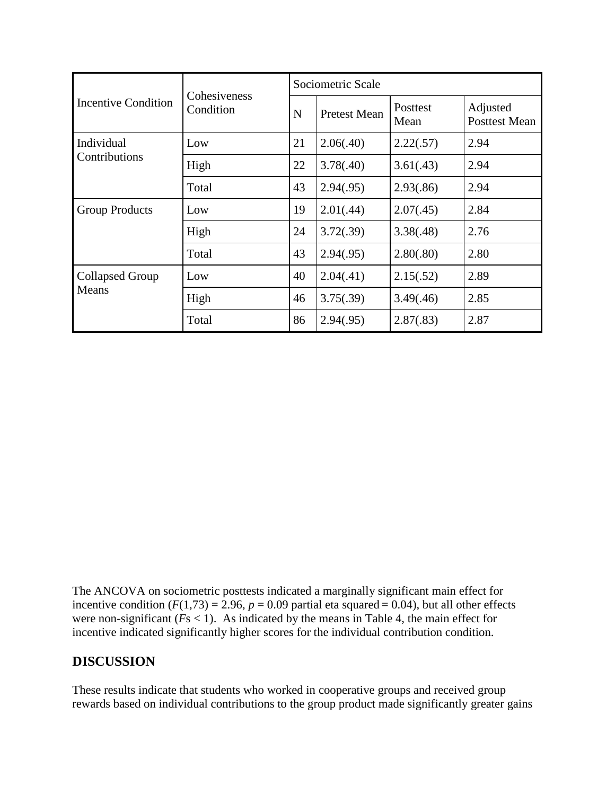|                                 | Cohesiveness             | Sociometric Scale |                     |                  |                                  |  |  |  |
|---------------------------------|--------------------------|-------------------|---------------------|------------------|----------------------------------|--|--|--|
| <b>Incentive Condition</b>      | Condition<br>$\mathbf N$ |                   | <b>Pretest Mean</b> | Posttest<br>Mean | Adjusted<br><b>Posttest Mean</b> |  |  |  |
| Individual                      | Low                      | 21                | 2.06(.40)           | 2.22(.57)        | 2.94                             |  |  |  |
| Contributions                   | High                     | 22                | 3.78(.40)           | 3.61(.43)        | 2.94                             |  |  |  |
|                                 | Total                    | 43                | 2.94(.95)           | 2.93(.86)        | 2.94                             |  |  |  |
| <b>Group Products</b>           | Low                      | 19                | 2.01(.44)           | 2.07(.45)        | 2.84                             |  |  |  |
|                                 | High                     | 24                | 3.72(.39)           | 3.38(.48)        | 2.76                             |  |  |  |
|                                 | Total                    | 43                | 2.94(.95)           | 2.80(.80)        | 2.80                             |  |  |  |
| <b>Collapsed Group</b><br>Means | Low                      | 40                | 2.04(.41)           | 2.15(.52)        | 2.89                             |  |  |  |
|                                 | High                     | 46                | 3.75(.39)           | 3.49(.46)        | 2.85                             |  |  |  |
|                                 | Total                    | 86                | 2.94(.95)           | 2.87(.83)        | 2.87                             |  |  |  |

The ANCOVA on sociometric posttests indicated a marginally significant main effect for incentive condition  $(F(1,73) = 2.96, p = 0.09$  partial eta squared = 0.04), but all other effects were non-significant  $(Fs < 1)$ . As indicated by the means in Table 4, the main effect for incentive indicated significantly higher scores for the individual contribution condition.

# **DISCUSSION**

These results indicate that students who worked in cooperative groups and received group rewards based on individual contributions to the group product made significantly greater gains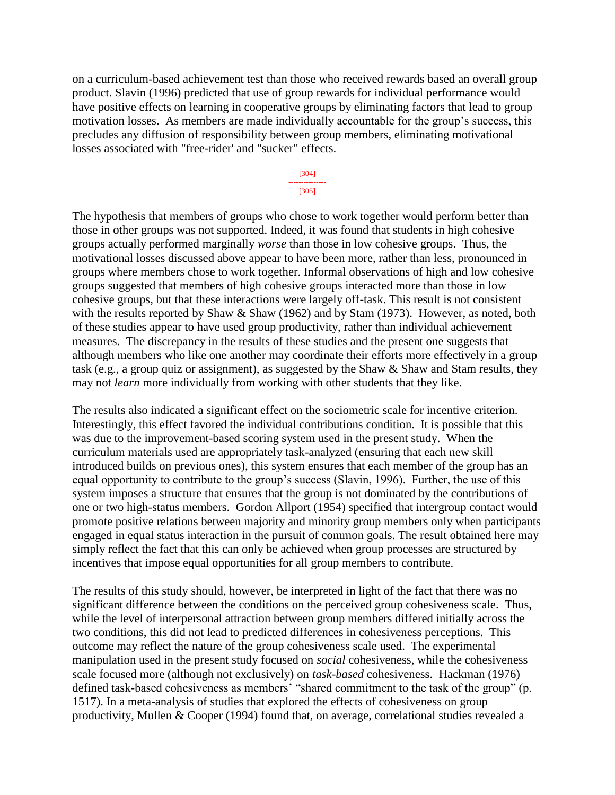on a curriculum-based achievement test than those who received rewards based an overall group product. Slavin (1996) predicted that use of group rewards for individual performance would have positive effects on learning in cooperative groups by eliminating factors that lead to group motivation losses. As members are made individually accountable for the group's success, this precludes any diffusion of responsibility between group members, eliminating motivational losses associated with "free-rider' and "sucker" effects.

> [304] --------------- [305]

The hypothesis that members of groups who chose to work together would perform better than those in other groups was not supported. Indeed, it was found that students in high cohesive groups actually performed marginally *worse* than those in low cohesive groups. Thus, the motivational losses discussed above appear to have been more, rather than less, pronounced in groups where members chose to work together. Informal observations of high and low cohesive groups suggested that members of high cohesive groups interacted more than those in low cohesive groups, but that these interactions were largely off-task. This result is not consistent with the results reported by Shaw & Shaw (1962) and by Stam (1973). However, as noted, both of these studies appear to have used group productivity, rather than individual achievement measures. The discrepancy in the results of these studies and the present one suggests that although members who like one another may coordinate their efforts more effectively in a group task (e.g., a group quiz or assignment), as suggested by the Shaw & Shaw and Stam results, they may not *learn* more individually from working with other students that they like.

The results also indicated a significant effect on the sociometric scale for incentive criterion. Interestingly, this effect favored the individual contributions condition. It is possible that this was due to the improvement-based scoring system used in the present study. When the curriculum materials used are appropriately task-analyzed (ensuring that each new skill introduced builds on previous ones), this system ensures that each member of the group has an equal opportunity to contribute to the group's success (Slavin, 1996). Further, the use of this system imposes a structure that ensures that the group is not dominated by the contributions of one or two high-status members. Gordon Allport (1954) specified that intergroup contact would promote positive relations between majority and minority group members only when participants engaged in equal status interaction in the pursuit of common goals. The result obtained here may simply reflect the fact that this can only be achieved when group processes are structured by incentives that impose equal opportunities for all group members to contribute.

The results of this study should, however, be interpreted in light of the fact that there was no significant difference between the conditions on the perceived group cohesiveness scale. Thus, while the level of interpersonal attraction between group members differed initially across the two conditions, this did not lead to predicted differences in cohesiveness perceptions. This outcome may reflect the nature of the group cohesiveness scale used. The experimental manipulation used in the present study focused on *social* cohesiveness, while the cohesiveness scale focused more (although not exclusively) on *task-based* cohesiveness. Hackman (1976) defined task-based cohesiveness as members' "shared commitment to the task of the group" (p. 1517). In a meta-analysis of studies that explored the effects of cohesiveness on group productivity, Mullen & Cooper (1994) found that, on average, correlational studies revealed a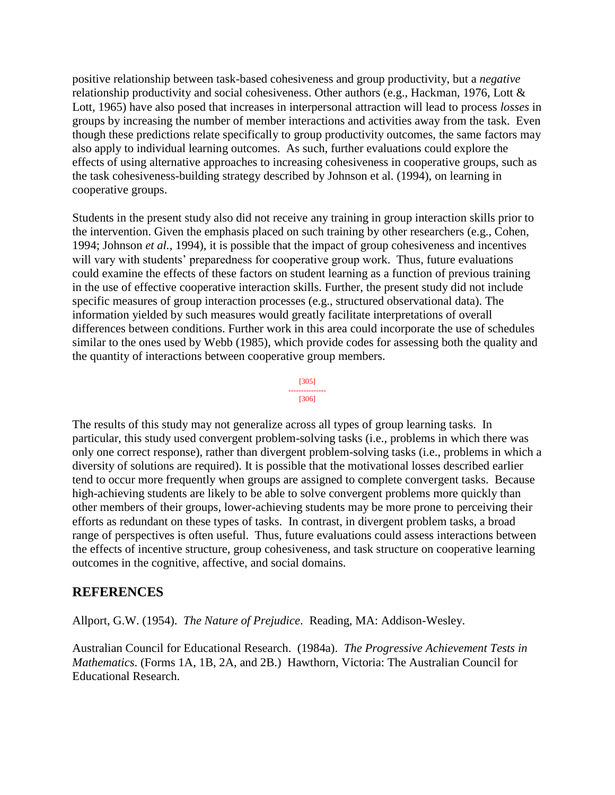positive relationship between task-based cohesiveness and group productivity, but a *negative* relationship productivity and social cohesiveness. Other authors (e.g., Hackman, 1976, Lott & Lott, 1965) have also posed that increases in interpersonal attraction will lead to process *losses* in groups by increasing the number of member interactions and activities away from the task. Even though these predictions relate specifically to group productivity outcomes, the same factors may also apply to individual learning outcomes. As such, further evaluations could explore the effects of using alternative approaches to increasing cohesiveness in cooperative groups, such as the task cohesiveness-building strategy described by Johnson et al. (1994), on learning in cooperative groups.

Students in the present study also did not receive any training in group interaction skills prior to the intervention. Given the emphasis placed on such training by other researchers (e.g., Cohen, 1994; Johnson *et al.*, 1994), it is possible that the impact of group cohesiveness and incentives will vary with students' preparedness for cooperative group work. Thus, future evaluations could examine the effects of these factors on student learning as a function of previous training in the use of effective cooperative interaction skills. Further, the present study did not include specific measures of group interaction processes (e.g., structured observational data). The information yielded by such measures would greatly facilitate interpretations of overall differences between conditions. Further work in this area could incorporate the use of schedules similar to the ones used by Webb (1985), which provide codes for assessing both the quality and the quantity of interactions between cooperative group members.

> [305] --------------- [306]

The results of this study may not generalize across all types of group learning tasks. In particular, this study used convergent problem-solving tasks (i.e., problems in which there was only one correct response), rather than divergent problem-solving tasks (i.e., problems in which a diversity of solutions are required). It is possible that the motivational losses described earlier tend to occur more frequently when groups are assigned to complete convergent tasks. Because high-achieving students are likely to be able to solve convergent problems more quickly than other members of their groups, lower-achieving students may be more prone to perceiving their efforts as redundant on these types of tasks. In contrast, in divergent problem tasks, a broad range of perspectives is often useful. Thus, future evaluations could assess interactions between the effects of incentive structure, group cohesiveness, and task structure on cooperative learning outcomes in the cognitive, affective, and social domains.

# **REFERENCES**

Allport, G.W. (1954). *The Nature of Prejudice*. Reading, MA: Addison-Wesley.

Australian Council for Educational Research. (1984a). *The Progressive Achievement Tests in Mathematics*. (Forms 1A, 1B, 2A, and 2B.) Hawthorn, Victoria: The Australian Council for Educational Research.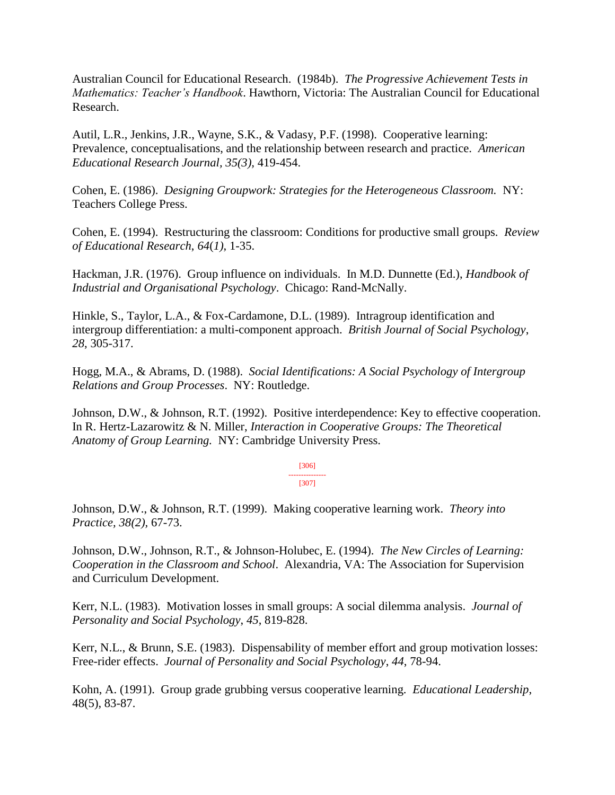Australian Council for Educational Research. (1984b). *The Progressive Achievement Tests in Mathematics: Teacher's Handbook*. Hawthorn, Victoria: The Australian Council for Educational Research.

Autil, L.R., Jenkins, J.R., Wayne, S.K., & Vadasy, P.F. (1998). Cooperative learning: Prevalence, conceptualisations, and the relationship between research and practice. *American Educational Research Journal, 35(3),* 419-454.

Cohen, E. (1986). *Designing Groupwork: Strategies for the Heterogeneous Classroom.* NY: Teachers College Press.

Cohen, E. (1994). Restructuring the classroom: Conditions for productive small groups. *Review of Educational Research*, *64*(*1)*, 1-35.

Hackman, J.R. (1976). Group influence on individuals. In M.D. Dunnette (Ed.), *Handbook of Industrial and Organisational Psychology*. Chicago: Rand-McNally.

Hinkle, S., Taylor, L.A., & Fox-Cardamone, D.L. (1989). Intragroup identification and intergroup differentiation: a multi-component approach. *British Journal of Social Psychology*, *28*, 305-317.

Hogg, M.A., & Abrams, D. (1988). *Social Identifications: A Social Psychology of Intergroup Relations and Group Processes*. NY: Routledge.

Johnson, D.W., & Johnson, R.T. (1992). Positive interdependence: Key to effective cooperation. In R. Hertz-Lazarowitz & N. Miller, *Interaction in Cooperative Groups: The Theoretical Anatomy of Group Learning.* NY: Cambridge University Press.

> [306] --------------- [307]

Johnson, D.W., & Johnson, R.T. (1999). Making cooperative learning work. *Theory into Practice, 38(2),* 67-73.

Johnson, D.W., Johnson, R.T., & Johnson-Holubec, E. (1994). *The New Circles of Learning: Cooperation in the Classroom and School*. Alexandria, VA: The Association for Supervision and Curriculum Development.

Kerr, N.L. (1983). Motivation losses in small groups: A social dilemma analysis. *Journal of Personality and Social Psychology*, *45*, 819-828.

Kerr, N.L., & Brunn, S.E. (1983). Dispensability of member effort and group motivation losses: Free-rider effects. *Journal of Personality and Social Psychology*, *44*, 78-94.

Kohn, A. (1991). Group grade grubbing versus cooperative learning. *Educational Leadership*, 48(5), 83-87.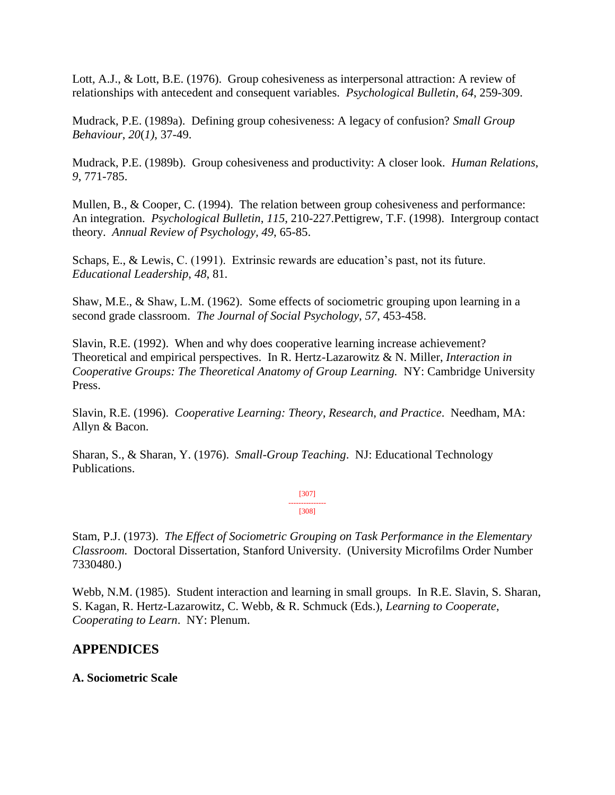Lott, A.J., & Lott, B.E. (1976). Group cohesiveness as interpersonal attraction: A review of relationships with antecedent and consequent variables. *Psychological Bulletin*, *64*, 259-309.

Mudrack, P.E. (1989a). Defining group cohesiveness: A legacy of confusion? *Small Group Behaviour*, *20*(*1)*, 37-49.

Mudrack, P.E. (1989b). Group cohesiveness and productivity: A closer look. *Human Relations*, *9*, 771-785.

Mullen, B., & Cooper, C. (1994). The relation between group cohesiveness and performance: An integration. *Psychological Bulletin*, *115*, 210-227.Pettigrew, T.F. (1998). Intergroup contact theory. *Annual Review of Psychology, 49*, 65-85.

Schaps, E., & Lewis, C. (1991). Extrinsic rewards are education's past, not its future. *Educational Leadership*, *48*, 81.

Shaw, M.E., & Shaw, L.M. (1962). Some effects of sociometric grouping upon learning in a second grade classroom. *The Journal of Social Psychology*, *57*, 453-458.

Slavin, R.E. (1992). When and why does cooperative learning increase achievement? Theoretical and empirical perspectives. In R. Hertz-Lazarowitz & N. Miller, *Interaction in Cooperative Groups: The Theoretical Anatomy of Group Learning.* NY: Cambridge University Press.

Slavin, R.E. (1996). *Cooperative Learning: Theory*, *Research*, *and Practice*. Needham, MA: Allyn & Bacon.

Sharan, S., & Sharan, Y. (1976). *Small-Group Teaching*. NJ: Educational Technology Publications.

> [307] --------------- [308]

Stam, P.J. (1973). *The Effect of Sociometric Grouping on Task Performance in the Elementary Classroom.* Doctoral Dissertation, Stanford University. (University Microfilms Order Number 7330480.)

Webb, N.M. (1985). Student interaction and learning in small groups. In R.E. Slavin, S. Sharan, S. Kagan, R. Hertz-Lazarowitz, C. Webb, & R. Schmuck (Eds.), *Learning to Cooperate*, *Cooperating to Learn*. NY: Plenum.

# **APPENDICES**

#### **A. Sociometric Scale**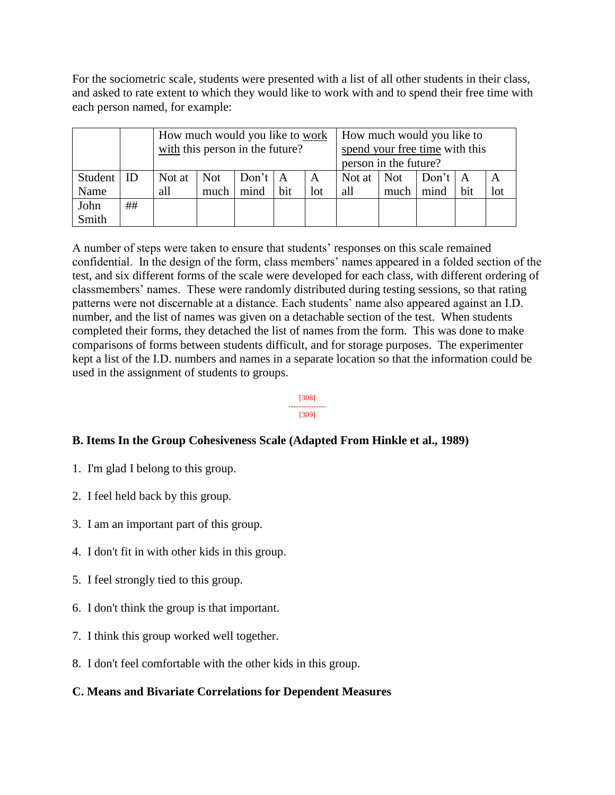For the sociometric scale, students were presented with a list of all other students in their class, and asked to rate extent to which they would like to work with and to spend their free time with each person named, for example:

|         |    | How much would you like to work<br>with this person in the future? |      |                         |     |              | How much would you like to<br>spend your free time with this<br>person in the future? |            |             |     |     |
|---------|----|--------------------------------------------------------------------|------|-------------------------|-----|--------------|---------------------------------------------------------------------------------------|------------|-------------|-----|-----|
| Student | ID | Not at $\parallel$                                                 | Not  | $\Delta$ Don't $\Delta$ |     | $\mathbf{A}$ | Not at                                                                                | <b>Not</b> | Don't   $A$ |     |     |
| Name    |    | all                                                                | much | mind                    | bit | lot          | all                                                                                   | much       | mind        | bit | lot |
| John    | ## |                                                                    |      |                         |     |              |                                                                                       |            |             |     |     |
| Smith   |    |                                                                    |      |                         |     |              |                                                                                       |            |             |     |     |

A number of steps were taken to ensure that students' responses on this scale remained confidential. In the design of the form, class members' names appeared in a folded section of the test, and six different forms of the scale were developed for each class, with different ordering of classmembers' names. These were randomly distributed during testing sessions, so that rating patterns were not discernable at a distance. Each students' name also appeared against an I.D. number, and the list of names was given on a detachable section of the test. When students completed their forms, they detached the list of names from the form. This was done to make comparisons of forms between students difficult, and for storage purposes. The experimenter kept a list of the I.D. numbers and names in a separate location so that the information could be used in the assignment of students to groups.

#### [308] --------------- [309]

# **B. Items In the Group Cohesiveness Scale (Adapted From Hinkle et al., 1989)**

- 1. I'm glad I belong to this group.
- 2. I feel held back by this group.
- 3. I am an important part of this group.
- 4. I don't fit in with other kids in this group.
- 5. I feel strongly tied to this group.
- 6. I don't think the group is that important.
- 7. I think this group worked well together.
- 8. I don't feel comfortable with the other kids in this group.

# **C. Means and Bivariate Correlations for Dependent Measures**